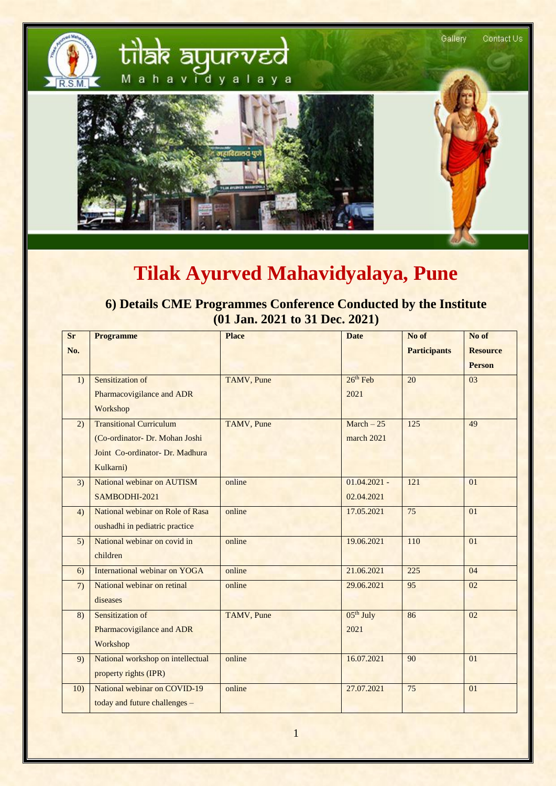

## **Tilak Ayurved Mahavidyalaya, Pune**

**6) Details CME Programmes Conference Conducted by the Institute (01 Jan. 2021 to 31 Dec. 2021)**

| <b>Sr</b> | <b>Programme</b>                  | <b>Place</b> | <b>Date</b>    | No of               | No of           |
|-----------|-----------------------------------|--------------|----------------|---------------------|-----------------|
| No.       |                                   |              |                | <b>Participants</b> | <b>Resource</b> |
|           |                                   |              |                |                     | <b>Person</b>   |
| 1)        | Sensitization of                  | TAMV, Pune   | $26th$ Feb     | 20                  | 03              |
|           | Pharmacovigilance and ADR         |              | 2021           |                     |                 |
|           | Workshop                          |              |                |                     |                 |
| 2)        | <b>Transitional Curriculum</b>    | TAMV, Pune   | $March - 25$   | 125                 | 49              |
|           | (Co-ordinator- Dr. Mohan Joshi    |              | march 2021     |                     |                 |
|           | Joint Co-ordinator- Dr. Madhura   |              |                |                     |                 |
|           | Kulkarni)                         |              |                |                     |                 |
| 3)        | National webinar on AUTISM        | online       | $01.04.2021 -$ | 121                 | 01              |
|           | SAMBODHI-2021                     |              | 02.04.2021     |                     |                 |
| 4)        | National webinar on Role of Rasa  | online       | 17.05.2021     | 75                  | 01              |
|           | oushadhi in pediatric practice    |              |                |                     |                 |
| 5)        | National webinar on covid in      | online       | 19.06.2021     | 110                 | 01              |
|           | children                          |              |                |                     |                 |
| 6)        | International webinar on YOGA     | online       | 21.06.2021     | 225                 | 04              |
| 7)        | National webinar on retinal       | online       | 29.06.2021     | 95                  | 02              |
|           | diseases                          |              |                |                     |                 |
| 8)        | Sensitization of                  | TAMV, Pune   | $05th$ July    | 86                  | 02              |
|           | Pharmacovigilance and ADR         |              | 2021           |                     |                 |
|           | Workshop                          |              |                |                     |                 |
| 9)        | National workshop on intellectual | online       | 16.07.2021     | 90                  | 01              |
|           | property rights (IPR)             |              |                |                     |                 |
| 10)       | National webinar on COVID-19      | online       | 27.07.2021     | 75                  | 01              |
|           | today and future challenges -     |              |                |                     |                 |